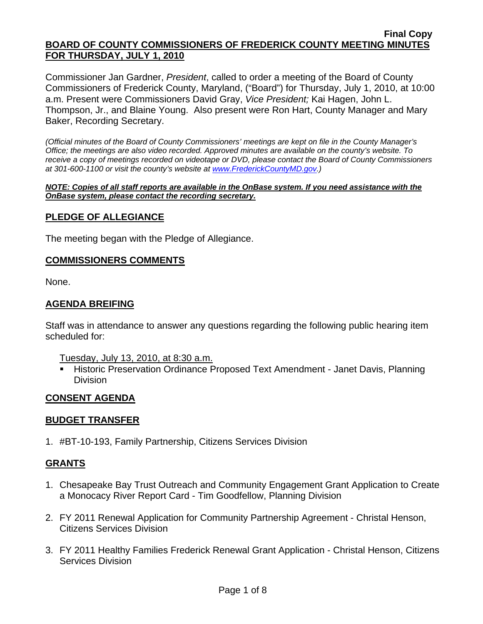Commissioner Jan Gardner, *President*, called to order a meeting of the Board of County Commissioners of Frederick County, Maryland, ("Board") for Thursday, July 1, 2010, at 10:00 a.m. Present were Commissioners David Gray, *Vice President;* Kai Hagen, John L. Thompson, Jr., and Blaine Young. Also present were Ron Hart, County Manager and Mary Baker, Recording Secretary.

*(Official minutes of the Board of County Commissioners' meetings are kept on file in the County Manager's Office; the meetings are also video recorded. Approved minutes are available on the county's website. To receive a copy of meetings recorded on videotape or DVD, please contact the Board of County Commissioners at 301-600-1100 or visit the county's website at [www.FrederickCountyMD.gov.](http://www.frederickcountymd.gov/))* 

*NOTE: Copies of all staff reports are available in the OnBase system. If you need assistance with the OnBase system, please contact the recording secretary.*

### **PLEDGE OF ALLEGIANCE**

The meeting began with the Pledge of Allegiance.

#### **COMMISSIONERS COMMENTS**

None.

### **AGENDA BREIFING**

Staff was in attendance to answer any questions regarding the following public hearing item scheduled for:

Tuesday, July 13, 2010, at 8:30 a.m.

**Historic Preservation Ordinance Proposed Text Amendment - Janet Davis, Planning** Division

### **CONSENT AGENDA**

#### **BUDGET TRANSFER**

1. #BT-10-193, Family Partnership, Citizens Services Division

#### **GRANTS**

- 1. Chesapeake Bay Trust Outreach and Community Engagement Grant Application to Create a Monocacy River Report Card - Tim Goodfellow, Planning Division
- 2. FY 2011 Renewal Application for Community Partnership Agreement Christal Henson, Citizens Services Division
- 3. FY 2011 Healthy Families Frederick Renewal Grant Application Christal Henson, Citizens Services Division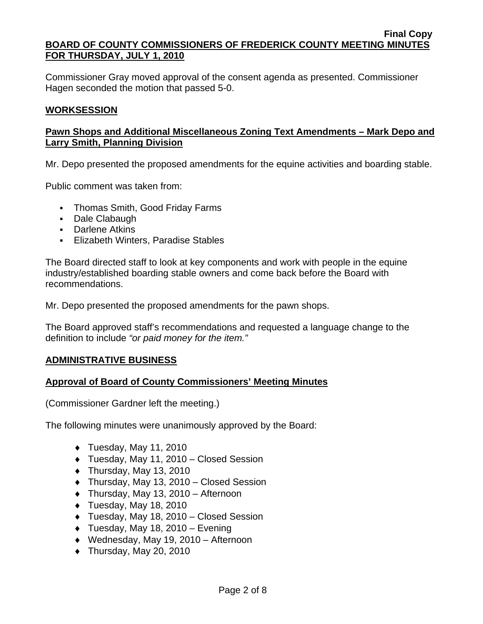Commissioner Gray moved approval of the consent agenda as presented. Commissioner Hagen seconded the motion that passed 5-0.

### **WORKSESSION**

## **Pawn Shops and Additional Miscellaneous Zoning Text Amendments – Mark Depo and Larry Smith, Planning Division**

Mr. Depo presented the proposed amendments for the equine activities and boarding stable.

Public comment was taken from:

- Thomas Smith, Good Friday Farms
- Dale Clabaugh
- **-** Darlene Atkins
- **Elizabeth Winters, Paradise Stables**

The Board directed staff to look at key components and work with people in the equine industry/established boarding stable owners and come back before the Board with recommendations.

Mr. Depo presented the proposed amendments for the pawn shops.

The Board approved staff's recommendations and requested a language change to the definition to include *"or paid money for the item."* 

### **ADMINISTRATIVE BUSINESS**

### **Approval of Board of County Commissioners' Meeting Minutes**

(Commissioner Gardner left the meeting.)

The following minutes were unanimously approved by the Board:

- $\blacklozenge$  Tuesday, May 11, 2010
- ♦ Tuesday, May 11, 2010 Closed Session
- $\bullet$  Thursday, May 13, 2010
- ♦ Thursday, May 13, 2010 Closed Session
- ♦ Thursday, May 13, 2010 Afternoon
- $\blacklozenge$  Tuesday, May 18, 2010
- ♦ Tuesday, May 18, 2010 Closed Session
- $\blacklozenge$  Tuesday, May 18, 2010 Evening
- ♦ Wednesday, May 19, 2010 Afternoon
- $\bullet$  Thursday, May 20, 2010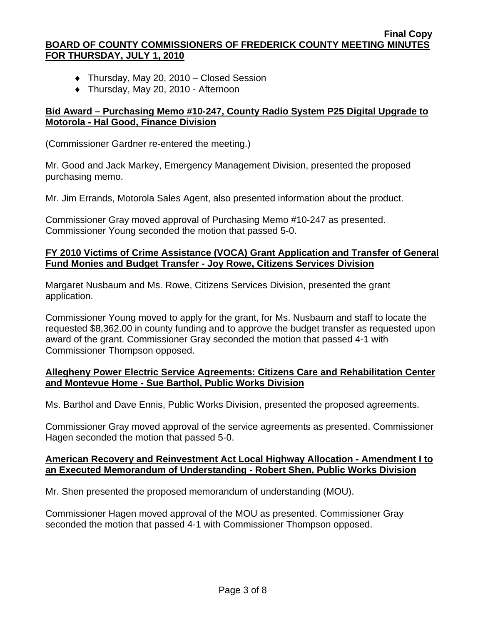- ♦ Thursday, May 20, 2010 Closed Session
- ♦ Thursday, May 20, 2010 Afternoon

## **Bid Award – Purchasing Memo #10-247, County Radio System P25 Digital Upgrade to Motorola - Hal Good, Finance Division**

(Commissioner Gardner re-entered the meeting.)

Mr. Good and Jack Markey, Emergency Management Division, presented the proposed purchasing memo.

Mr. Jim Errands, Motorola Sales Agent, also presented information about the product.

Commissioner Gray moved approval of Purchasing Memo #10-247 as presented. Commissioner Young seconded the motion that passed 5-0.

## **FY 2010 Victims of Crime Assistance (VOCA) Grant Application and Transfer of General Fund Monies and Budget Transfer - Joy Rowe, Citizens Services Division**

Margaret Nusbaum and Ms. Rowe, Citizens Services Division, presented the grant application.

Commissioner Young moved to apply for the grant, for Ms. Nusbaum and staff to locate the requested \$8,362.00 in county funding and to approve the budget transfer as requested upon award of the grant. Commissioner Gray seconded the motion that passed 4-1 with Commissioner Thompson opposed.

# **Allegheny Power Electric Service Agreements: Citizens Care and Rehabilitation Center and Montevue Home - Sue Barthol, Public Works Division**

Ms. Barthol and Dave Ennis, Public Works Division, presented the proposed agreements.

Commissioner Gray moved approval of the service agreements as presented. Commissioner Hagen seconded the motion that passed 5-0.

### **American Recovery and Reinvestment Act Local Highway Allocation - Amendment I to an Executed Memorandum of Understanding - Robert Shen, Public Works Division**

Mr. Shen presented the proposed memorandum of understanding (MOU).

Commissioner Hagen moved approval of the MOU as presented. Commissioner Gray seconded the motion that passed 4-1 with Commissioner Thompson opposed.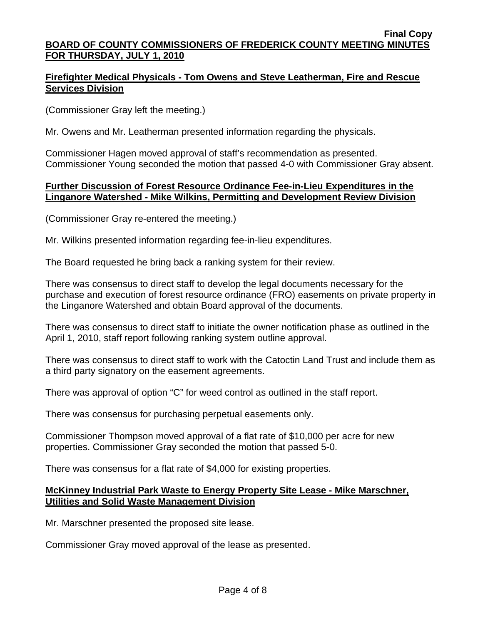# **Firefighter Medical Physicals - Tom Owens and Steve Leatherman, Fire and Rescue Services Division**

(Commissioner Gray left the meeting.)

Mr. Owens and Mr. Leatherman presented information regarding the physicals.

Commissioner Hagen moved approval of staff's recommendation as presented. Commissioner Young seconded the motion that passed 4-0 with Commissioner Gray absent.

## **Further Discussion of Forest Resource Ordinance Fee-in-Lieu Expenditures in the Linganore Watershed - Mike Wilkins, Permitting and Development Review Division**

(Commissioner Gray re-entered the meeting.)

Mr. Wilkins presented information regarding fee-in-lieu expenditures.

The Board requested he bring back a ranking system for their review.

There was consensus to direct staff to develop the legal documents necessary for the purchase and execution of forest resource ordinance (FRO) easements on private property in the Linganore Watershed and obtain Board approval of the documents.

There was consensus to direct staff to initiate the owner notification phase as outlined in the April 1, 2010, staff report following ranking system outline approval.

There was consensus to direct staff to work with the Catoctin Land Trust and include them as a third party signatory on the easement agreements.

There was approval of option "C" for weed control as outlined in the staff report.

There was consensus for purchasing perpetual easements only.

Commissioner Thompson moved approval of a flat rate of \$10,000 per acre for new properties. Commissioner Gray seconded the motion that passed 5-0.

There was consensus for a flat rate of \$4,000 for existing properties.

### **McKinney Industrial Park Waste to Energy Property Site Lease - Mike Marschner, Utilities and Solid Waste Management Division**

Mr. Marschner presented the proposed site lease.

Commissioner Gray moved approval of the lease as presented.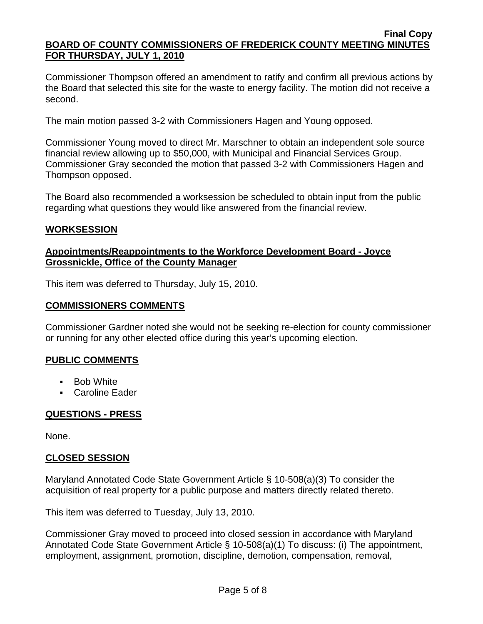Commissioner Thompson offered an amendment to ratify and confirm all previous actions by the Board that selected this site for the waste to energy facility. The motion did not receive a second.

The main motion passed 3-2 with Commissioners Hagen and Young opposed.

Commissioner Young moved to direct Mr. Marschner to obtain an independent sole source financial review allowing up to \$50,000, with Municipal and Financial Services Group. Commissioner Gray seconded the motion that passed 3-2 with Commissioners Hagen and Thompson opposed.

The Board also recommended a worksession be scheduled to obtain input from the public regarding what questions they would like answered from the financial review.

### **WORKSESSION**

### **Appointments/Reappointments to the Workforce Development Board - Joyce Grossnickle, Office of the County Manager**

This item was deferred to Thursday, July 15, 2010.

#### **COMMISSIONERS COMMENTS**

Commissioner Gardner noted she would not be seeking re-election for county commissioner or running for any other elected office during this year's upcoming election.

#### **PUBLIC COMMENTS**

- **Bob White**
- Caroline Eader

### **QUESTIONS - PRESS**

None.

### **CLOSED SESSION**

Maryland Annotated Code State Government Article § 10-508(a)(3) To consider the acquisition of real property for a public purpose and matters directly related thereto.

This item was deferred to Tuesday, July 13, 2010.

Commissioner Gray moved to proceed into closed session in accordance with Maryland Annotated Code State Government Article § 10-508(a)(1) To discuss: (i) The appointment, employment, assignment, promotion, discipline, demotion, compensation, removal,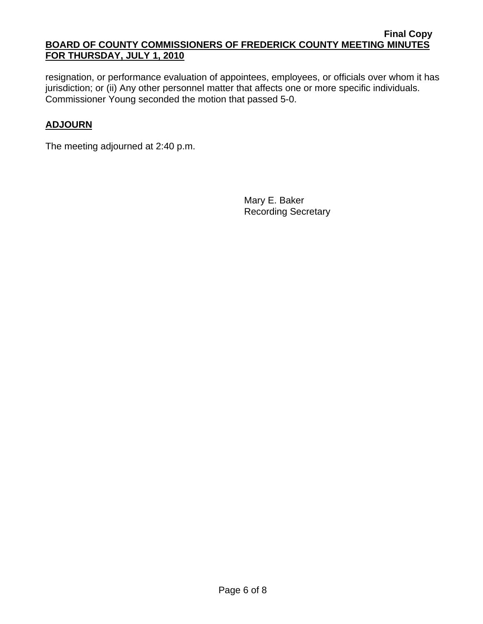resignation, or performance evaluation of appointees, employees, or officials over whom it has jurisdiction; or (ii) Any other personnel matter that affects one or more specific individuals. Commissioner Young seconded the motion that passed 5-0.

# **ADJOURN**

The meeting adjourned at 2:40 p.m.

Mary E. Baker Recording Secretary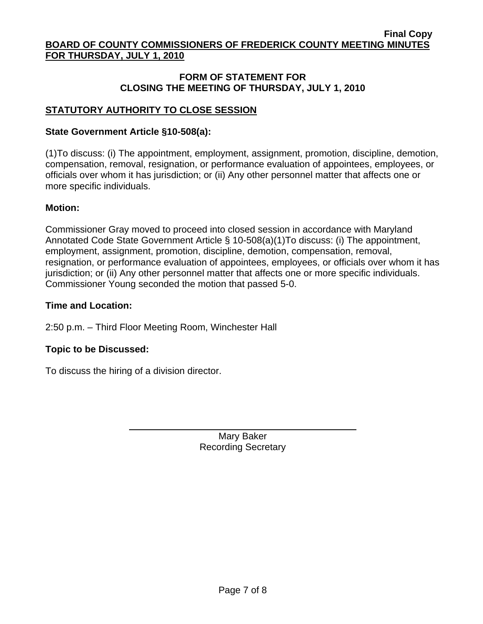# **FORM OF STATEMENT FOR CLOSING THE MEETING OF THURSDAY, JULY 1, 2010**

# **STATUTORY AUTHORITY TO CLOSE SESSION**

### **State Government Article §10-508(a):**

(1)To discuss: (i) The appointment, employment, assignment, promotion, discipline, demotion, compensation, removal, resignation, or performance evaluation of appointees, employees, or officials over whom it has jurisdiction; or (ii) Any other personnel matter that affects one or more specific individuals.

### **Motion:**

Commissioner Gray moved to proceed into closed session in accordance with Maryland Annotated Code State Government Article § 10-508(a)(1)To discuss: (i) The appointment, employment, assignment, promotion, discipline, demotion, compensation, removal, resignation, or performance evaluation of appointees, employees, or officials over whom it has jurisdiction; or (ii) Any other personnel matter that affects one or more specific individuals. Commissioner Young seconded the motion that passed 5-0.

### **Time and Location:**

2:50 p.m. – Third Floor Meeting Room, Winchester Hall

### **Topic to be Discussed:**

To discuss the hiring of a division director.

 $\overline{a}$ 

Mary Baker Recording Secretary